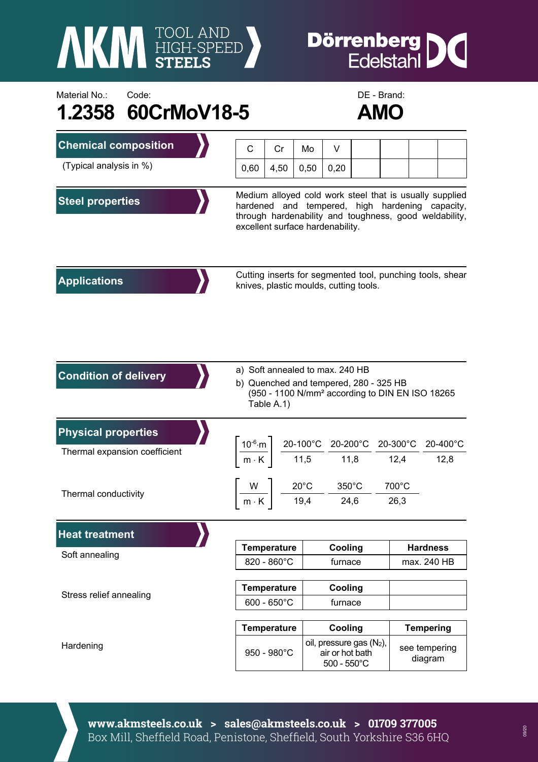

## **Dörrenberg**<br>Edelstahl IC

## Material No.: Code: Code: Code: DE - Brand: **1.2358 60CrMoV18-5 AMO**



| <b>Chemical composition</b>   | C                                                                                                                                                                                                        | Cr          | Mo   | V                                                                                                   |  |               |                          |          |  |
|-------------------------------|----------------------------------------------------------------------------------------------------------------------------------------------------------------------------------------------------------|-------------|------|-----------------------------------------------------------------------------------------------------|--|---------------|--------------------------|----------|--|
| (Typical analysis in %)       | 0,60                                                                                                                                                                                                     | 4,50        | 0,50 | 0,20                                                                                                |  |               |                          |          |  |
| <b>Steel properties</b>       | Medium alloyed cold work steel that is usually supplied<br>hardened and tempered, high hardening capacity,<br>through hardenability and toughness, good weldability,<br>excellent surface hardenability. |             |      |                                                                                                     |  |               |                          |          |  |
| <b>Applications</b>           |                                                                                                                                                                                                          |             |      | Cutting inserts for segmented tool, punching tools, shear<br>knives, plastic moulds, cutting tools. |  |               |                          |          |  |
| <b>Condition of delivery</b>  | a) Soft annealed to max. 240 HB<br>b) Quenched and tempered, 280 - 325 HB<br>(950 - 1100 N/mm <sup>2</sup> according to DIN EN ISO 18265<br>Table A.1)                                                   |             |      |                                                                                                     |  |               |                          |          |  |
| <b>Physical properties</b>    | $\left\lceil \frac{10^{-6} \text{ m}}{\text{m} \cdot \text{K}} \right\rceil \frac{20-100^{\circ} \text{C}}{11,5} \frac{20-200^{\circ} \text{C}}{11,8} \frac{20-300^{\circ} \text{C}}{12,4} \right\rceil$ |             |      |                                                                                                     |  |               |                          | 20-400°C |  |
| Thermal expansion coefficient |                                                                                                                                                                                                          |             |      |                                                                                                     |  |               | 12,8                     |          |  |
| Thermal conductivity          |                                                                                                                                                                                                          |             |      | $\frac{W}{m \cdot K}$ $\frac{20^{\circ}C}{19.4}$ $\frac{350^{\circ}C}{24.6}$                        |  | 700°C<br>26,3 |                          |          |  |
| <b>Heat treatment</b>         |                                                                                                                                                                                                          |             |      |                                                                                                     |  |               |                          |          |  |
| Soft annealing                | <b>Temperature</b>                                                                                                                                                                                       |             |      | Cooling                                                                                             |  |               | <b>Hardness</b>          |          |  |
|                               | 820 - 860°C                                                                                                                                                                                              |             |      | furnace                                                                                             |  |               | max. 240 HB              |          |  |
| Stress relief annealing       | <b>Temperature</b><br>$600 - 650^{\circ}C$                                                                                                                                                               |             |      | Cooling                                                                                             |  |               |                          |          |  |
|                               |                                                                                                                                                                                                          |             |      | furnace                                                                                             |  |               |                          |          |  |
| Hardening                     | <b>Temperature</b>                                                                                                                                                                                       |             |      | Cooling                                                                                             |  |               | <b>Tempering</b>         |          |  |
|                               |                                                                                                                                                                                                          | 950 - 980°C |      | oil, pressure gas (N <sub>2</sub> ),<br>air or hot bath<br>$500 - 550^{\circ}$ C                    |  |               | see tempering<br>diagram |          |  |

**www.akmsteels.co.uk > sales@akmsteels.co.uk > 01709 377005**  Box Mill, Sheffield Road, Penistone, Sheffield, South Yorkshire S36 6HQ